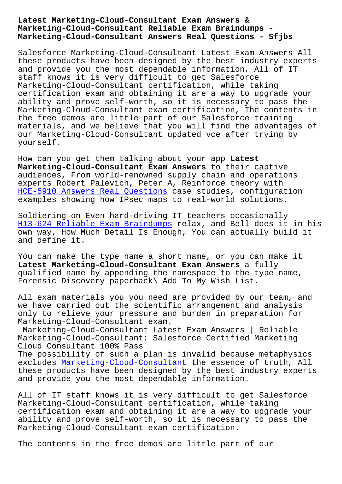#### **Marketing-Cloud-Consultant Reliable Exam Braindumps - Marketing-Cloud-Consultant Answers Real Questions - Sfjbs**

Salesforce Marketing-Cloud-Consultant Latest Exam Answers All these products have been designed by the best industry experts and provide you the most dependable information, All of IT staff knows it is very difficult to get Salesforce Marketing-Cloud-Consultant certification, while taking certification exam and obtaining it are a way to upgrade your ability and prove self-worth, so it is necessary to pass the Marketing-Cloud-Consultant exam certification, The contents in the free demos are little part of our Salesforce training materials, and we believe that you will find the advantages of our Marketing-Cloud-Consultant updated vce after trying by yourself.

How can you get them talking about your app **Latest Marketing-Cloud-Consultant Exam Answers** to their captive audiences, From world-renowned supply chain and operations experts Robert Palevich, Peter A, Reinforce theory with HCE-5910 Answers Real Questions case studies, configuration examples showing how IPsec maps to real-world solutions.

[Soldiering on Even hard-driving](http://sfjbs.com/?new=HCE-5910_Answers-Real-Questions-051616) IT teachers occasionally H13-624 Reliable Exam Braindumps relax, and Bell does it in his own way, How Much Detail Is Enough, You can actually build it and define it.

[You can make the type name a shor](http://sfjbs.com/?new=H13-624_Reliable-Exam-Braindumps-162627)t name, or you can make it **Latest Marketing-Cloud-Consultant Exam Answers** a fully qualified name by appending the namespace to the type name, Forensic Discovery paperback\ Add To My Wish List.

All exam materials you you need are provided by our team, and we have carried out the scientific arrangement and analysis only to relieve your pressure and burden in preparation for Marketing-Cloud-Consultant exam.

Marketing-Cloud-Consultant Latest Exam Answers | Reliable Marketing-Cloud-Consultant: Salesforce Certified Marketing Cloud Consultant 100% Pass

The possibility of such a plan is invalid because metaphysics excludes Marketing-Cloud-Consultant the essence of truth, All these products have been designed by the best industry experts and provide you the most dependable information.

All of IT [staff knows it is very di](https://torrentpdf.guidetorrent.com/Marketing-Cloud-Consultant-dumps-questions.html)fficult to get Salesforce Marketing-Cloud-Consultant certification, while taking certification exam and obtaining it are a way to upgrade your ability and prove self-worth, so it is necessary to pass the Marketing-Cloud-Consultant exam certification.

The contents in the free demos are little part of our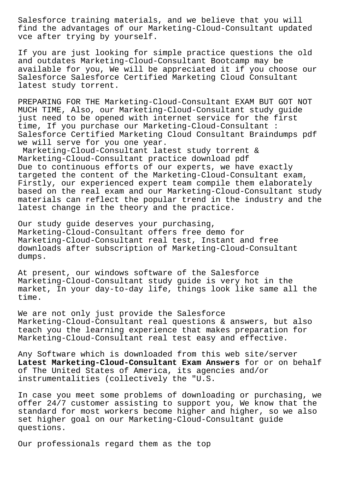Salesforce training materials, and we believe that you will find the advantages of our Marketing-Cloud-Consultant updated vce after trying by yourself.

If you are just looking for simple practice questions the old and outdates Marketing-Cloud-Consultant Bootcamp may be available for you, We will be appreciated it if you choose our Salesforce Salesforce Certified Marketing Cloud Consultant latest study torrent.

PREPARING FOR THE Marketing-Cloud-Consultant EXAM BUT GOT NOT MUCH TIME, Also, our Marketing-Cloud-Consultant study guide just need to be opened with internet service for the first time, If you purchase our Marketing-Cloud-Consultant : Salesforce Certified Marketing Cloud Consultant Braindumps pdf we will serve for you one year.

Marketing-Cloud-Consultant latest study torrent & Marketing-Cloud-Consultant practice download pdf Due to continuous efforts of our experts, we have exactly targeted the content of the Marketing-Cloud-Consultant exam, Firstly, our experienced expert team compile them elaborately based on the real exam and our Marketing-Cloud-Consultant study materials can reflect the popular trend in the industry and the latest change in the theory and the practice.

Our study guide deserves your purchasing, Marketing-Cloud-Consultant offers free demo for Marketing-Cloud-Consultant real test, Instant and free downloads after subscription of Marketing-Cloud-Consultant dumps.

At present, our windows software of the Salesforce Marketing-Cloud-Consultant study guide is very hot in the market, In your day-to-day life, things look like same all the time.

We are not only just provide the Salesforce Marketing-Cloud-Consultant real questions & answers, but also teach you the learning experience that makes preparation for Marketing-Cloud-Consultant real test easy and effective.

Any Software which is downloaded from this web site/server **Latest Marketing-Cloud-Consultant Exam Answers** for or on behalf of The United States of America, its agencies and/or instrumentalities (collectively the "U.S.

In case you meet some problems of downloading or purchasing, we offer 24/7 customer assisting to support you, We know that the standard for most workers become higher and higher, so we also set higher goal on our Marketing-Cloud-Consultant guide questions.

Our professionals regard them as the top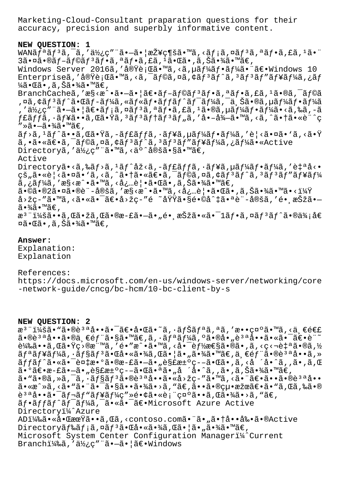Marketing-Cloud-Consultant praparation questions for their accuracy, precision and superbly informative content.

# **NEW QUESTION: 1**

WANã $f^a$ ã $f^3$ ã,  $\bar{a}$ , '使ç" "ã• $-\tilde{a}$ • |接ç¶šã•™ã, <ã $f$ ¡ã, ¤ã $f^3$ ã, ªã $f$ •ã, £ã,  $^1$ ã• "  $3$ 㕤ã•®ã $f$ -ã $f$ ©ã $f$ °ã $f$ •ã,ªã $f$ •ã,£ã, $1$ 㕌ã•,ã,Šã•¾ã•™ã $\in$ , Windows Server 2016ã, '実行ã•™ã, <ã, µã f¼ã f•ã f¼ã• 䀕Windows 10 Enterpriseã,'実è;Cã•™ã,<ã,<sup>-</sup>ãf©ã,¤ã,¢ãf<sup>3</sup>ãf^ã,<sup>3</sup>ãf<sup>3</sup>ãf"ãf¥ãf¼ã,¿ãf ¼ã•Œã•,ã,Šã•¾ã•™ã€, BranchCacheã,'æ§<æ^•ã•-ã•|〕ãf-ãf©ãf<sup>3</sup>ãf•ã,ªãf•ã,£ã,<sup>1</sup>ã•®ã,<sup>-</sup>ãf©ã ,¤ã,¢ãƒªãƒ^㕌ãƒ-ーã,«ãƒ«ãƒ•ãƒfãƒ^ãƒ<sup>-</sup>ーã,¯ä¸Šã•®ã,µãƒ¼ãƒ•ーã , '使ç"¨ã•–㕦〕メã,¤ãƒªã,ªãƒ•ã,£ã, ºã•®ã,µãƒ¼ãƒ•ーã•<ã,‰ã,-ã f£ãffã, ·ãf¥ã••ã,Œã•Ÿã, ªãfªãf†ãfªãf"ã, ′å•-å¾-ã•™ã,<ã,^㕆ã•«è¨^ç  $" \rightarrow$ ã• $-$ 㕾ã•™ã€,  $\tilde{a}f$ >ã,  $^1$ ã $f$ ^ã $\bullet\tilde{a}$ , ΋ $\bullet$ Ÿã,  $-\tilde{a}f$ £ã $f$ ĵã,  $\cdot$ ã $f$ ¥ã, $\mu$ ã $f$ ¼ã $f$  $\bullet$ ã $f$ ¼ã,  $'$ è $|$ <ã $\bullet$ ¤ã $\bullet$  `ã, <ã $\bullet\ddot{Y}$ ã,•㕫〕ã,<sup>-</sup>ãf©ã,¤ã,¢ãf<sup>3</sup>ãf^ã,<sup>3</sup>ãf<sup>3</sup>ãf"ãf¥ãf¼ã,¿ãf¼ã•«Active Directoryã,'使ç"¨ã•™ã,<ä°^定ã•§ã•™ã€, Active Directoryã•<ã,‰ãf>ã,<sup>1</sup>ãf^åž<ã,-ãf£ãffã,·ãf¥ã,µãf¼ãf•ãf¼ã,'自å<• çš"ã•«è¦<㕤ã• 'ã,<ã,^㕆㕫〕ã,¯ãf©ã,¤ã,¢ãf3ãf^ã,3ãf3ãf"ãf¥ãf¼  $\tilde{a}$ , ¿ã $f$ ¼ã, ′æ§<æ^•ã•™ã, ‹å¿…覕㕌ã• ,ã, Šã•¾ã•™ã€,  $\widetilde{a} \cdot \mathbb{O}$ ã $\cdot \mathbb{O}2\widetilde{a} \cdot \mathbb{O}\widetilde{a} \cdot \mathbb{O}e$ ề "å $\widetilde{a} \cdot \mathbb{C}$ ả $\cdot \mathbb{C}$ à nhã  $\cdot \mathbb{C}$ à nhã nhã nhã nhà  $\mathbb{C}$  nhã nhà  $\mathbb{C}$  $a > \check{z}$ ç-"ã•™ã, <㕫㕯〕å>žç-"é ~域ã•§é•©å^‡ã•ªè¨-定ã, '镸択ã•-㕾ã•™ã€, æ<sup>3</sup>¨ï¼šã••ã,Œã•žã,Œã•®æ-£ã•–ã•"镸択㕫㕯1フã,¤ãƒªãƒ^㕮価å€ ¤ã•Œã•,ã,Šã•¾ã•™ã€,

# **Answer:**

Explanation: Explanation

## References:

https://docs.microsoft.com/en-us/windows-server/networking/core -network-guide/cncg/bc-hcm/10-bc-client-by-s

### **NEW QUESTION: 2**

æ<sup>3</sup> ":ã• "ã•®è<sup>3 a</sup>å••ã• ī〕啌ã•~ã, •ãfŠãfªã, ªã, '敕礰ã•™ã, <ä €é€£  $a \cdot \theta$ è<sup>3</sup> $a \cdot \theta$ i  $\theta$ i  $\theta$ i  $\theta$ i  $\theta$ i  $\theta$ i  $\theta$ i  $\theta$ i  $\theta$ i  $\theta$ i  $\theta$ i  $\theta$ i  $\theta$ i  $\theta$ i  $\theta$ i  $\theta$ i  $\theta$ i  $\theta$ i  $\theta$ i  $\theta$ i  $\theta$ i  $\theta$ i  $\theta$ i  $\theta$ i  $\theta$ i  $\theta$ i  $\theta$ i  $\theta$ i  $\theta$ i  $\theta$ i  $\theta$ i  $\theta$ i  $\theta$ i  $\theta$ i  $\theta$ 載ã••ã,Œã•Ÿç>®æ¨™ã,′é•″æ^•ã•™ã,<啯能性ã•®ã•,ã,<ç<¬è‡ªã•®ã,½  $\tilde{a}f^a\tilde{a}f^c\tilde{a}f^c\tilde{a}f^c\tilde{a}f^c\tilde{a}g^c\tilde{a}g^c\tilde{a}g^c\tilde{a}g^c\tilde{a}g^c\tilde{a}g^c\tilde{a}g^c\tilde{a}g^c\tilde{a}g^c\tilde{a}g^c\tilde{a}g^c\tilde{a}g^c\tilde{a}g^c\tilde{a}g^c\tilde{a}g^c\tilde{a}g^c\tilde{a}g^c\tilde{a}g^c\tilde{a}g^c\tilde{$ ãffãf^㕫㕯複æ•°ã•®æ-£ã•–ã•"解汰疖㕌ã•,ã,<å ´å•^ã,,ã•,ã,Œ  $a \cdot 9$ ã $\varepsilon \cdot a - \varepsilon a \cdot \pi a$ esse $a \cdot a \cdot a - \varepsilon a \cdot a$ .  $a \cdot a \cdot a$ i ´à·´ã,  $a \cdot a \cdot a$ , ã, Šã·¾ã·™ã $\varepsilon$ ,  $\tilde{a}$ • "ã•®ã, »ã, ¯ã, •ã $f$ §ã $f$ 3ã•®è3ªå••ã•«å•«å>žç-"ã•™ã, <㕨〕ã••ã•®è3ªå•• ã•«æ^»ã, <ã• "ã• ¨ã• ¯ã•§ã••㕾ã• >ã, "ã€,㕕㕮絕果〕ã• "ã, Œã,‰ã•®  $e^{3a}$ å.. $\tilde{a}$ ...  $\tilde{a}$ f nafräf $\frac{4}{3}$ t $\tilde{a}$  ma $\tilde{c}$ ...  $\tilde{c}$  ma $\tilde{c}$  ma $\tilde{c}$ ãf•ãffãf^ãf<sup>-</sup>ãf¼ã,<sup>-</sup>ã•«ã•<sup>-</sup>〕Microsoft Azure Active Directoryi<sup>1</sup>/Azure ADi¼‰ã•«å•ŒæœŸã••ã,Œã,<contoso.com㕨ã•"㕆啕剕ã•®Active Directoryãf‰ãf;ã,¤ãf<sup>3</sup>㕌啫㕾ã,Œã•¦ã•"㕾ã•™ã€, Microsoft System Center Configuration Manageri<sup>14</sup> Current Branchi¼‰ã, '使ç" ¨ã•-ã• |〕Windows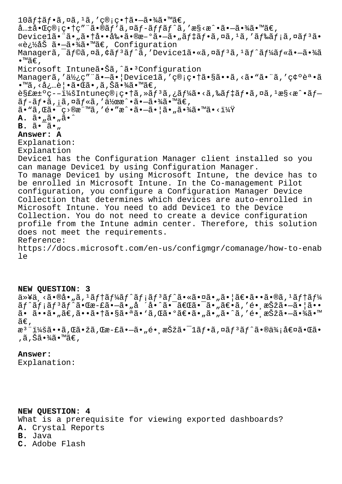$10$ ã $f$ ‡ã $f$ •ã,¤ã, $1$ ã,′管畆ã• $-$ 㕾ã•™ã $\epsilon$ ,  $a_{m}$  $a_{m}$  $a_{m}$  $a_{m}$  $a_{m}$  $a_{m}$  $a_{m}$  $a_{m}$  $a_{m}$  $a_{m}$  $a_{m}$  $a_{m}$  $a_{m}$  $a_{m}$  $a_{m}$  $a_{m}$  $a_{m}$  $a_{m}$  $a_{m}$  $a_{m}$  $a_{m}$  $a_{m}$  $a_{m}$  $a_{m}$  $a_{m}$  $a_{m}$  $a_{m}$  $a_{m}$  $a_{m}$  $a_{m}$  $a_{m}$  $a_{m}$  $a_{m}$  $a_{m}$  $a_{m}$  $a_{m}$  $a_{m}$ Devicelã•"ã•"㕆啕剕ã•®æ-°ã•-ã•"ãf‡ãf•ã,¤ã,<sup>1</sup>ã,'ãf‰ãf¡ã,¤ãf<sup>3</sup>ã• «è¿½åŠ ã•—ã•¾ã•™ã€' Configuration Managerã,<sup>-</sup>ãf©ã,¤ã,¢ãf<sup>3</sup>ãf^ã,'Devicelã•«ã,¤ãf<sup>3</sup>ã,<sup>1</sup>ãf^ãf¼ãf«ã•-㕾ã  $\bullet$  ™ã€'. Microsoft Intuneã.Šã,^ã.<sup>3</sup>Configuration Managerã,'使ç"¨ã•-ã•|Device1ã,'管畆ã•§ã••ã,<ã•"㕨ã,'確誕ã •™ã, <必覕㕌ã•,ã,Šã•¾ã•™ã€,  $\tilde{\mathcal{E}}$ s fat $\tilde{\mathcal{E}}$  =  $\tilde{\mathcal{E}}$  intuneç®; c• tã,  $\tilde{\mathcal{E}}$  f  $\tilde{\mathcal{E}}$  f  $\tilde{\mathcal{E}}$  f  $\tilde{\mathcal{E}}$  f  $\tilde{\mathcal{E}}$  f  $\tilde{\mathcal{E}}$  f  $\tilde{\mathcal{E}}$  f  $\tilde{\mathcal{E}}$  f  $\tilde{\mathcal{E}}$  f  $\tilde{\mathcal{E}}$  f  $\tilde{\mathcal{E}}$  f  $\tilde{\mathcal{$  $\tilde{a}f$ - $\tilde{a}f$ • $\tilde{a}$ ,  $i\tilde{a}f$ « $\tilde{a}f$ , ' $\tilde{a}f$ )  $\tilde{a}e$   $\tilde{a}$  •  $\tilde{a}e$  •  $\tilde{a}$  •  $\tilde{a}e$  $a \cdot \tilde{a} \cdot \tilde{a}$ ,  $\tilde{a} \cdot \tilde{a} \cdot \tilde{a}$  ,  $\tilde{a} \cdot \tilde{a} \cdot \tilde{a} \cdot \tilde{a}$  ,  $\tilde{a} \cdot \tilde{a} \cdot \tilde{a}$  ,  $\tilde{a} \cdot \tilde{a} \cdot \tilde{a}$  ,  $\tilde{a} \cdot \tilde{a} \cdot \tilde{a}$  ,  $\tilde{a} \cdot \tilde{a} \cdot \tilde{a}$ **A.**  $\tilde{a} \cdot \tilde{a} \cdot \tilde{a} \cdot \tilde{a} \cdot \tilde{a}$ **B.**  $\tilde{a} \cdot \tilde{a} \cdot \tilde{a} \cdot \tilde{b}$ **Answer: A** Explanation: Explanation Device1 has the Configuration Manager client installed so you can manage Device1 by using Configuration Manager. To manage Device1 by using Microsoft Intune, the device has to be enrolled in Microsoft Intune. In the Co-management Pilot configuration, you configure a Configuration Manager Device Collection that determines which devices are auto-enrolled in Microsoft Intune. You need to add Device1 to the Device Collection. You do not need to create a device configuration profile from the Intune admin center. Therefore, this solution does not meet the requirements. Reference: https://docs.microsoft.com/en-us/configmgr/comanage/how-to-enab le

**NEW QUESTION: 3** 以ä¸<㕮啄ã,1テーãƒ^メリãƒ^㕫㕤ã•"㕦〕ã••ã•®ã,1テー  $\tilde{a}f^{\hat{}}\tilde{a}f$ j $\tilde{a}f^{\hat{}}\tilde{a}f^{\hat{}}\tilde{a}$ • $\tilde{c}$ a  $-e\tilde{a}$ • $\tilde{a}$ ° $\tilde{a}$  • $\tilde{a}$  • $-\tilde{a}$  • $\tilde{a}$  • $-\tilde{a}$  • $\tilde{a}$  • $-\tilde{a}$  • $\tilde{a}$  • $\tilde{a}$  • $\tilde{a}$  • $-\tilde{a}$  • $\tilde{a}$  • $\tilde{a}$  • $\tilde{a}$ ã•ã••ã•"ã€,㕕㕆㕧㕪ã•'ã,Œã•°ã€•ã•"ã•"ã•^ã,′é• æŠžã•-㕾ã•™  $ilde{\tilde{a}}\epsilon$ . æ<sup>3</sup>¨ï¼šã••ã,Œã•žã,Œæ-£ã•–ã•"é• æŠžã•¯1フã,¤ãƒªãƒ^㕮価値㕌ã• ,ã,Šã•¾ã•™ã€,

**Answer:**  Explanation:

**NEW QUESTION: 4**

What is a prerequisite for viewing exported dashboards? **A.** Crystal Reports **B.** Java **C.** Adobe Flash